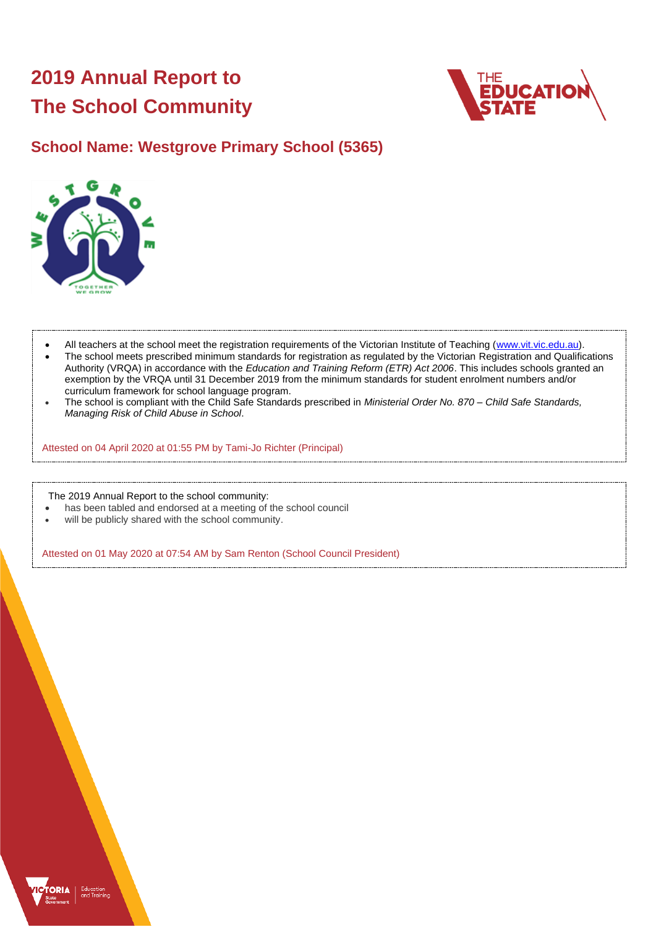# **2019 Annual Report to The School Community**



## **School Name: Westgrove Primary School (5365)**



- All teachers at the school meet the registration requirements of the Victorian Institute of Teaching [\(www.vit.vic.edu.au\)](https://www.vit.vic.edu.au/).
- The school meets prescribed minimum standards for registration as regulated by the Victorian Registration and Qualifications Authority (VRQA) in accordance with the *Education and Training Reform (ETR) Act 2006*. This includes schools granted an exemption by the VRQA until 31 December 2019 from the minimum standards for student enrolment numbers and/or curriculum framework for school language program.
- The school is compliant with the Child Safe Standards prescribed in *Ministerial Order No. 870 – Child Safe Standards, Managing Risk of Child Abuse in School*.

Attested on 04 April 2020 at 01:55 PM by Tami-Jo Richter (Principal)

The 2019 Annual Report to the school community:

- has been tabled and endorsed at a meeting of the school council
- will be publicly shared with the school community.

Attested on 01 May 2020 at 07:54 AM by Sam Renton (School Council President)

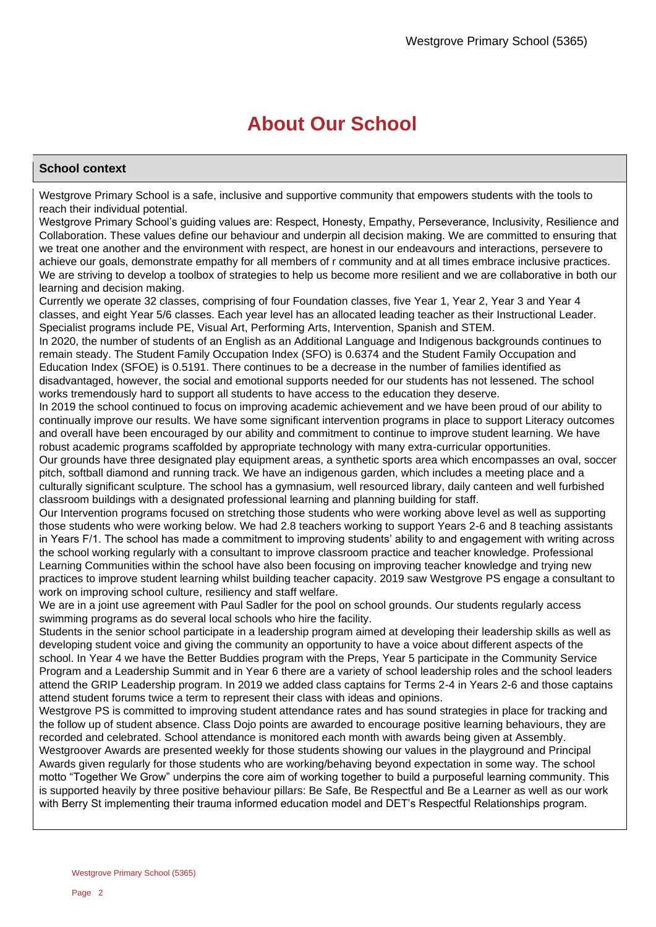# **About Our School**

### **School context**

Westgrove Primary School is a safe, inclusive and supportive community that empowers students with the tools to reach their individual potential.

Westgrove Primary School's guiding values are: Respect, Honesty, Empathy, Perseverance, Inclusivity, Resilience and Collaboration. These values define our behaviour and underpin all decision making. We are committed to ensuring that we treat one another and the environment with respect, are honest in our endeavours and interactions, persevere to achieve our goals, demonstrate empathy for all members of r community and at all times embrace inclusive practices. We are striving to develop a toolbox of strategies to help us become more resilient and we are collaborative in both our learning and decision making.

Currently we operate 32 classes, comprising of four Foundation classes, five Year 1, Year 2, Year 3 and Year 4 classes, and eight Year 5/6 classes. Each year level has an allocated leading teacher as their Instructional Leader. Specialist programs include PE, Visual Art, Performing Arts, Intervention, Spanish and STEM.

In 2020, the number of students of an English as an Additional Language and Indigenous backgrounds continues to remain steady. The Student Family Occupation Index (SFO) is 0.6374 and the Student Family Occupation and Education Index (SFOE) is 0.5191. There continues to be a decrease in the number of families identified as disadvantaged, however, the social and emotional supports needed for our students has not lessened. The school works tremendously hard to support all students to have access to the education they deserve.

In 2019 the school continued to focus on improving academic achievement and we have been proud of our ability to continually improve our results. We have some significant intervention programs in place to support Literacy outcomes and overall have been encouraged by our ability and commitment to continue to improve student learning. We have robust academic programs scaffolded by appropriate technology with many extra-curricular opportunities.

Our grounds have three designated play equipment areas, a synthetic sports area which encompasses an oval, soccer pitch, softball diamond and running track. We have an indigenous garden, which includes a meeting place and a culturally significant sculpture. The school has a gymnasium, well resourced library, daily canteen and well furbished classroom buildings with a designated professional learning and planning building for staff.

Our Intervention programs focused on stretching those students who were working above level as well as supporting those students who were working below. We had 2.8 teachers working to support Years 2-6 and 8 teaching assistants in Years F/1. The school has made a commitment to improving students' ability to and engagement with writing across the school working regularly with a consultant to improve classroom practice and teacher knowledge. Professional Learning Communities within the school have also been focusing on improving teacher knowledge and trying new practices to improve student learning whilst building teacher capacity. 2019 saw Westgrove PS engage a consultant to work on improving school culture, resiliency and staff welfare.

We are in a joint use agreement with Paul Sadler for the pool on school grounds. Our students regularly access swimming programs as do several local schools who hire the facility.

Students in the senior school participate in a leadership program aimed at developing their leadership skills as well as developing student voice and giving the community an opportunity to have a voice about different aspects of the school. In Year 4 we have the Better Buddies program with the Preps, Year 5 participate in the Community Service Program and a Leadership Summit and in Year 6 there are a variety of school leadership roles and the school leaders attend the GRIP Leadership program. In 2019 we added class captains for Terms 2-4 in Years 2-6 and those captains attend student forums twice a term to represent their class with ideas and opinions.

Westgrove PS is committed to improving student attendance rates and has sound strategies in place for tracking and the follow up of student absence. Class Dojo points are awarded to encourage positive learning behaviours, they are recorded and celebrated. School attendance is monitored each month with awards being given at Assembly.

Westgroover Awards are presented weekly for those students showing our values in the playground and Principal Awards given regularly for those students who are working/behaving beyond expectation in some way. The school motto "Together We Grow" underpins the core aim of working together to build a purposeful learning community. This is supported heavily by three positive behaviour pillars: Be Safe, Be Respectful and Be a Learner as well as our work with Berry St implementing their trauma informed education model and DET's Respectful Relationships program.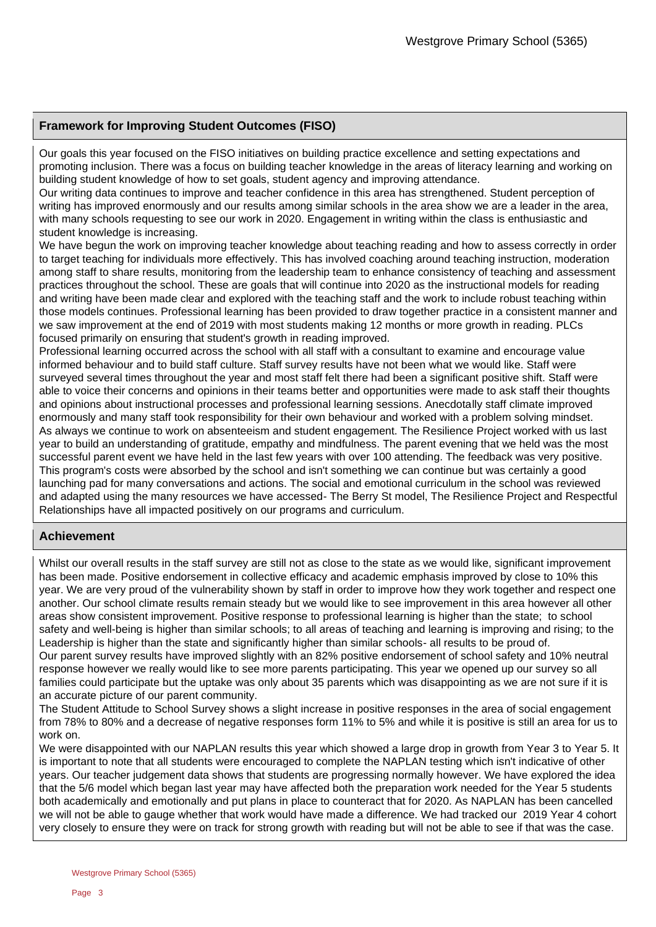### **Framework for Improving Student Outcomes (FISO)**

Our goals this year focused on the FISO initiatives on building practice excellence and setting expectations and promoting inclusion. There was a focus on building teacher knowledge in the areas of literacy learning and working on building student knowledge of how to set goals, student agency and improving attendance.

Our writing data continues to improve and teacher confidence in this area has strengthened. Student perception of writing has improved enormously and our results among similar schools in the area show we are a leader in the area, with many schools requesting to see our work in 2020. Engagement in writing within the class is enthusiastic and student knowledge is increasing.

We have begun the work on improving teacher knowledge about teaching reading and how to assess correctly in order to target teaching for individuals more effectively. This has involved coaching around teaching instruction, moderation among staff to share results, monitoring from the leadership team to enhance consistency of teaching and assessment practices throughout the school. These are goals that will continue into 2020 as the instructional models for reading and writing have been made clear and explored with the teaching staff and the work to include robust teaching within those models continues. Professional learning has been provided to draw together practice in a consistent manner and we saw improvement at the end of 2019 with most students making 12 months or more growth in reading. PLCs focused primarily on ensuring that student's growth in reading improved.

Professional learning occurred across the school with all staff with a consultant to examine and encourage value informed behaviour and to build staff culture. Staff survey results have not been what we would like. Staff were surveyed several times throughout the year and most staff felt there had been a significant positive shift. Staff were able to voice their concerns and opinions in their teams better and opportunities were made to ask staff their thoughts and opinions about instructional processes and professional learning sessions. Anecdotally staff climate improved enormously and many staff took responsibility for their own behaviour and worked with a problem solving mindset. As always we continue to work on absenteeism and student engagement. The Resilience Project worked with us last year to build an understanding of gratitude, empathy and mindfulness. The parent evening that we held was the most successful parent event we have held in the last few years with over 100 attending. The feedback was very positive. This program's costs were absorbed by the school and isn't something we can continue but was certainly a good launching pad for many conversations and actions. The social and emotional curriculum in the school was reviewed and adapted using the many resources we have accessed- The Berry St model, The Resilience Project and Respectful Relationships have all impacted positively on our programs and curriculum.

### **Achievement**

Whilst our overall results in the staff survey are still not as close to the state as we would like, significant improvement has been made. Positive endorsement in collective efficacy and academic emphasis improved by close to 10% this year. We are very proud of the vulnerability shown by staff in order to improve how they work together and respect one another. Our school climate results remain steady but we would like to see improvement in this area however all other areas show consistent improvement. Positive response to professional learning is higher than the state; to school safety and well-being is higher than similar schools; to all areas of teaching and learning is improving and rising; to the Leadership is higher than the state and significantly higher than similar schools- all results to be proud of. Our parent survey results have improved slightly with an 82% positive endorsement of school safety and 10% neutral response however we really would like to see more parents participating. This year we opened up our survey so all families could participate but the uptake was only about 35 parents which was disappointing as we are not sure if it is an accurate picture of our parent community.

The Student Attitude to School Survey shows a slight increase in positive responses in the area of social engagement from 78% to 80% and a decrease of negative responses form 11% to 5% and while it is positive is still an area for us to work on.

We were disappointed with our NAPLAN results this year which showed a large drop in growth from Year 3 to Year 5. It is important to note that all students were encouraged to complete the NAPLAN testing which isn't indicative of other years. Our teacher judgement data shows that students are progressing normally however. We have explored the idea that the 5/6 model which began last year may have affected both the preparation work needed for the Year 5 students both academically and emotionally and put plans in place to counteract that for 2020. As NAPLAN has been cancelled we will not be able to gauge whether that work would have made a difference. We had tracked our 2019 Year 4 cohort very closely to ensure they were on track for strong growth with reading but will not be able to see if that was the case.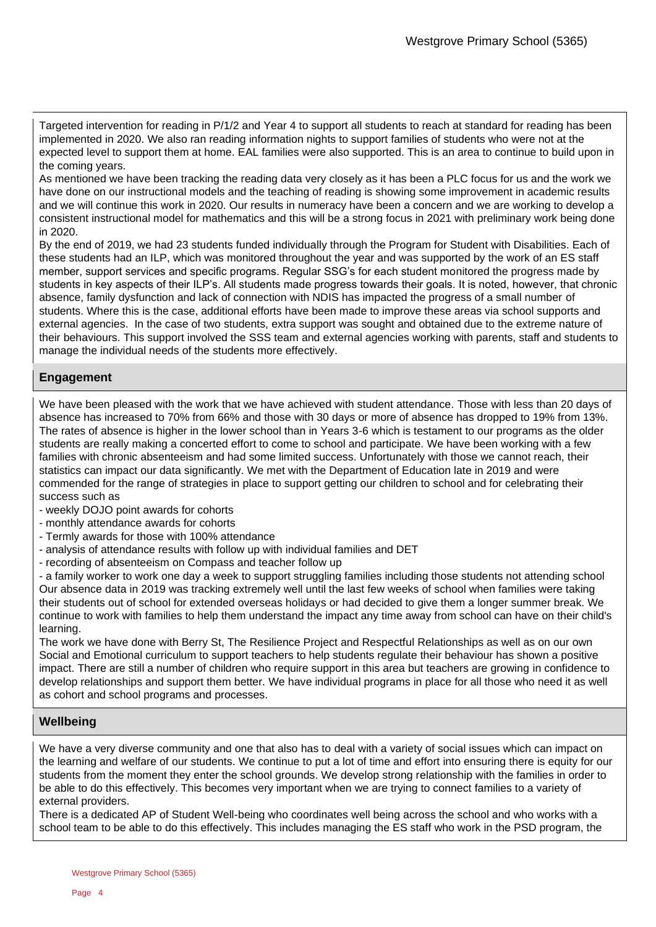Targeted intervention for reading in P/1/2 and Year 4 to support all students to reach at standard for reading has been implemented in 2020. We also ran reading information nights to support families of students who were not at the expected level to support them at home. EAL families were also supported. This is an area to continue to build upon in the coming years.

As mentioned we have been tracking the reading data very closely as it has been a PLC focus for us and the work we have done on our instructional models and the teaching of reading is showing some improvement in academic results and we will continue this work in 2020. Our results in numeracy have been a concern and we are working to develop a consistent instructional model for mathematics and this will be a strong focus in 2021 with preliminary work being done in 2020.

By the end of 2019, we had 23 students funded individually through the Program for Student with Disabilities. Each of these students had an ILP, which was monitored throughout the year and was supported by the work of an ES staff member, support services and specific programs. Regular SSG's for each student monitored the progress made by students in key aspects of their ILP's. All students made progress towards their goals. It is noted, however, that chronic absence, family dysfunction and lack of connection with NDIS has impacted the progress of a small number of students. Where this is the case, additional efforts have been made to improve these areas via school supports and external agencies. In the case of two students, extra support was sought and obtained due to the extreme nature of their behaviours. This support involved the SSS team and external agencies working with parents, staff and students to manage the individual needs of the students more effectively.

### **Engagement**

We have been pleased with the work that we have achieved with student attendance. Those with less than 20 days of absence has increased to 70% from 66% and those with 30 days or more of absence has dropped to 19% from 13%. The rates of absence is higher in the lower school than in Years 3-6 which is testament to our programs as the older students are really making a concerted effort to come to school and participate. We have been working with a few families with chronic absenteeism and had some limited success. Unfortunately with those we cannot reach, their statistics can impact our data significantly. We met with the Department of Education late in 2019 and were commended for the range of strategies in place to support getting our children to school and for celebrating their success such as

- weekly DOJO point awards for cohorts
- monthly attendance awards for cohorts
- Termly awards for those with 100% attendance
- analysis of attendance results with follow up with individual families and DET
- recording of absenteeism on Compass and teacher follow up

- a family worker to work one day a week to support struggling families including those students not attending school Our absence data in 2019 was tracking extremely well until the last few weeks of school when families were taking their students out of school for extended overseas holidays or had decided to give them a longer summer break. We continue to work with families to help them understand the impact any time away from school can have on their child's learning.

The work we have done with Berry St, The Resilience Project and Respectful Relationships as well as on our own Social and Emotional curriculum to support teachers to help students regulate their behaviour has shown a positive impact. There are still a number of children who require support in this area but teachers are growing in confidence to develop relationships and support them better. We have individual programs in place for all those who need it as well as cohort and school programs and processes.

### **Wellbeing**

We have a very diverse community and one that also has to deal with a variety of social issues which can impact on the learning and welfare of our students. We continue to put a lot of time and effort into ensuring there is equity for our students from the moment they enter the school grounds. We develop strong relationship with the families in order to be able to do this effectively. This becomes very important when we are trying to connect families to a variety of external providers.

There is a dedicated AP of Student Well-being who coordinates well being across the school and who works with a school team to be able to do this effectively. This includes managing the ES staff who work in the PSD program, the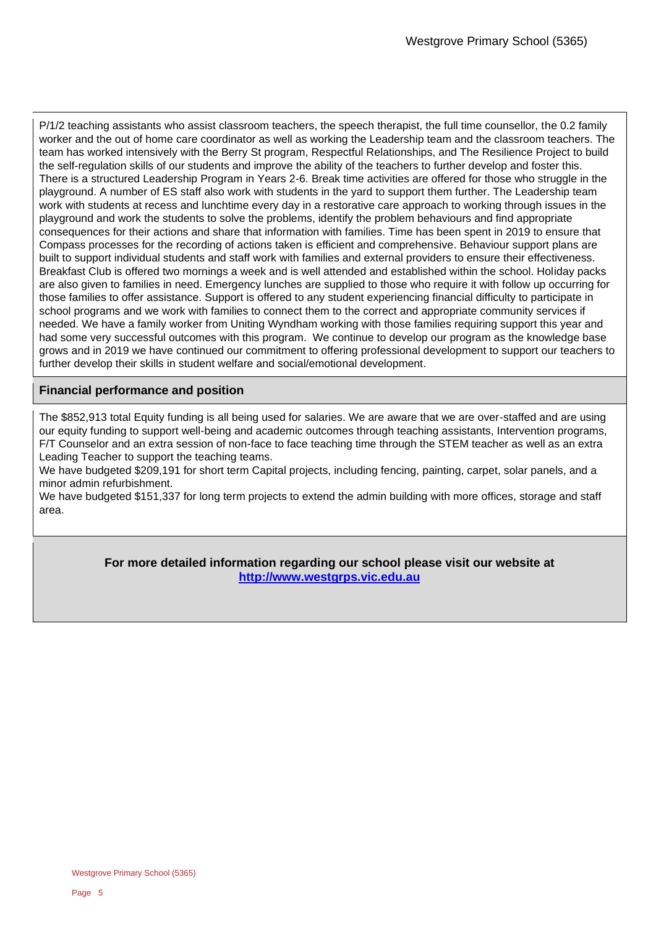P/1/2 teaching assistants who assist classroom teachers, the speech therapist, the full time counsellor, the 0.2 family worker and the out of home care coordinator as well as working the Leadership team and the classroom teachers. The team has worked intensively with the Berry St program, Respectful Relationships, and The Resilience Project to build the self-regulation skills of our students and improve the ability of the teachers to further develop and foster this. There is a structured Leadership Program in Years 2-6. Break time activities are offered for those who struggle in the playground. A number of ES staff also work with students in the yard to support them further. The Leadership team work with students at recess and lunchtime every day in a restorative care approach to working through issues in the playground and work the students to solve the problems, identify the problem behaviours and find appropriate consequences for their actions and share that information with families. Time has been spent in 2019 to ensure that Compass processes for the recording of actions taken is efficient and comprehensive. Behaviour support plans are built to support individual students and staff work with families and external providers to ensure their effectiveness. Breakfast Club is offered two mornings a week and is well attended and established within the school. Holiday packs are also given to families in need. Emergency lunches are supplied to those who require it with follow up occurring for those families to offer assistance. Support is offered to any student experiencing financial difficulty to participate in school programs and we work with families to connect them to the correct and appropriate community services if needed. We have a family worker from Uniting Wyndham working with those families requiring support this year and had some very successful outcomes with this program. We continue to develop our program as the knowledge base grows and in 2019 we have continued our commitment to offering professional development to support our teachers to further develop their skills in student welfare and social/emotional development.

### **Financial performance and position**

The \$852,913 total Equity funding is all being used for salaries. We are aware that we are over-staffed and are using our equity funding to support well-being and academic outcomes through teaching assistants, Intervention programs, F/T Counselor and an extra session of non-face to face teaching time through the STEM teacher as well as an extra Leading Teacher to support the teaching teams.

We have budgeted \$209,191 for short term Capital projects, including fencing, painting, carpet, solar panels, and a minor admin refurbishment.

We have budgeted \$151,337 for long term projects to extend the admin building with more offices, storage and staff area.

> **For more detailed information regarding our school please visit our website at [http://www.westgrps.vic.edu.au](http://www.westgrps.vic.edu.au/)**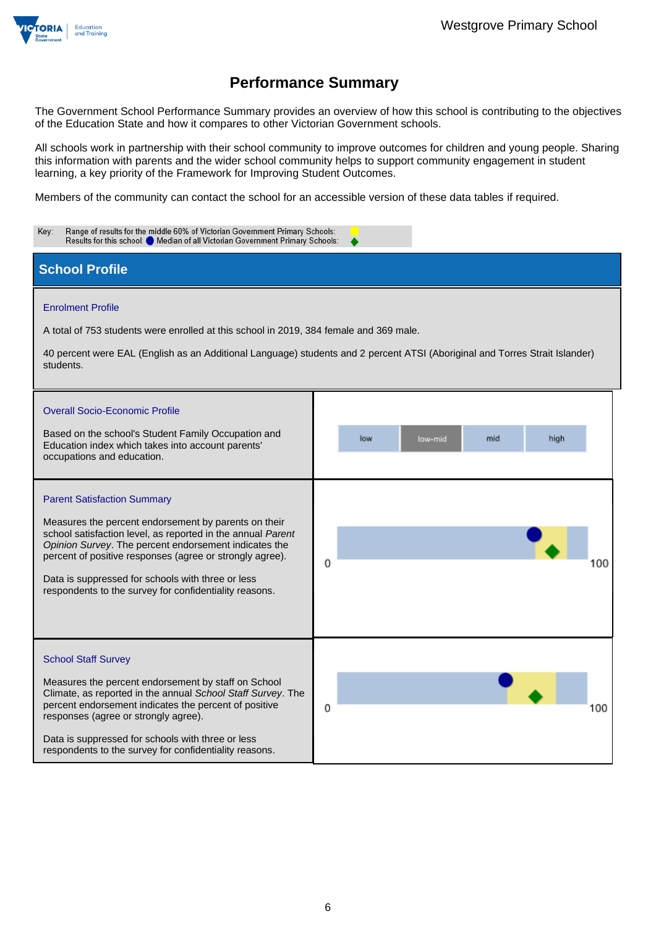

The Government School Performance Summary provides an overview of how this school is contributing to the objectives of the Education State and how it compares to other Victorian Government schools.

All schools work in partnership with their school community to improve outcomes for children and young people. Sharing this information with parents and the wider school community helps to support community engagement in student learning, a key priority of the Framework for Improving Student Outcomes.

Members of the community can contact the school for an accessible version of these data tables if required.

| Range of results for the middle 60% of Victorian Government Primary Schools:<br>Key:<br>Results for this school: O Median of all Victorian Government Primary Schools:                                                                                                                                                                                                                        |                                                                                                                                                              |
|-----------------------------------------------------------------------------------------------------------------------------------------------------------------------------------------------------------------------------------------------------------------------------------------------------------------------------------------------------------------------------------------------|--------------------------------------------------------------------------------------------------------------------------------------------------------------|
| <b>School Profile</b>                                                                                                                                                                                                                                                                                                                                                                         |                                                                                                                                                              |
| <b>Enrolment Profile</b><br>A total of 753 students were enrolled at this school in 2019, 384 female and 369 male.<br>students.<br><b>Overall Socio-Economic Profile</b><br>Based on the school's Student Family Occupation and<br>Education index which takes into account parents'<br>occupations and education.                                                                            | 40 percent were EAL (English as an Additional Language) students and 2 percent ATSI (Aboriginal and Torres Strait Islander)<br>low<br>low-mid<br>mid<br>high |
| <b>Parent Satisfaction Summary</b><br>Measures the percent endorsement by parents on their<br>school satisfaction level, as reported in the annual Parent<br>Opinion Survey. The percent endorsement indicates the<br>percent of positive responses (agree or strongly agree).<br>Data is suppressed for schools with three or less<br>respondents to the survey for confidentiality reasons. | 0<br>100                                                                                                                                                     |
| <b>School Staff Survey</b><br>Measures the percent endorsement by staff on School<br>Climate, as reported in the annual School Staff Survey. The<br>percent endorsement indicates the percent of positive<br>responses (agree or strongly agree).<br>Data is suppressed for schools with three or less<br>respondents to the survey for confidentiality reasons.                              | 0<br>100                                                                                                                                                     |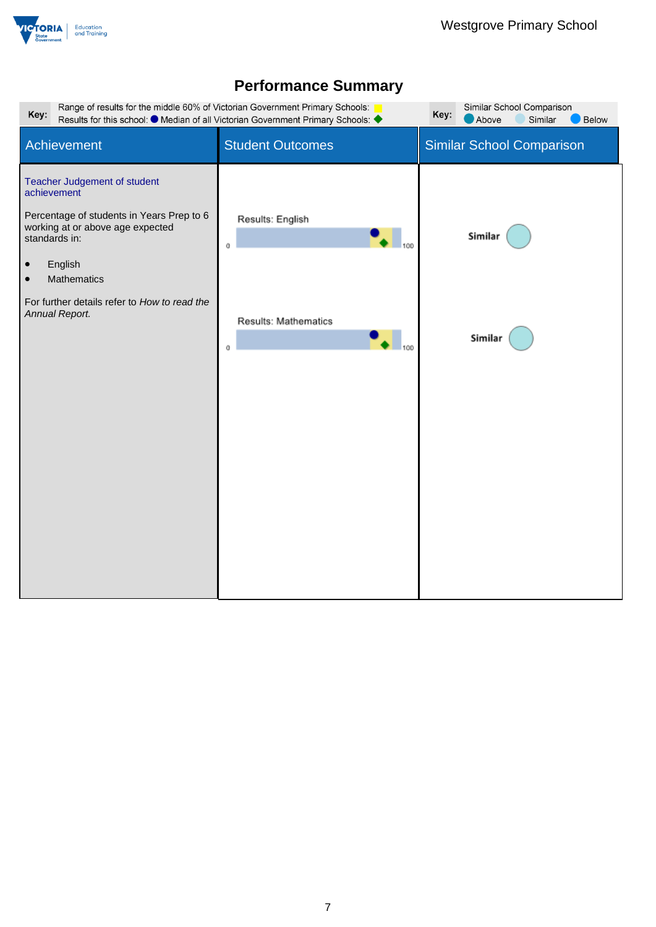

| Range of results for the middle 60% of Victorian Government Primary Schools:<br>Similar School Comparison<br>Key:<br>Key:<br>Results for this school: $\bullet$ Median of all Victorian Government Primary Schools: 4<br>Above<br>Similar<br>Below                  |                                                                  |                                  |  |
|---------------------------------------------------------------------------------------------------------------------------------------------------------------------------------------------------------------------------------------------------------------------|------------------------------------------------------------------|----------------------------------|--|
| Achievement                                                                                                                                                                                                                                                         | <b>Student Outcomes</b>                                          | <b>Similar School Comparison</b> |  |
| Teacher Judgement of student<br>achievement<br>Percentage of students in Years Prep to 6<br>working at or above age expected<br>standards in:<br>English<br>$\bullet$<br>Mathematics<br>$\bullet$<br>For further details refer to How to read the<br>Annual Report. | Results: English<br>100<br>0<br>Results: Mathematics<br>100<br>0 | Similar<br>Similar               |  |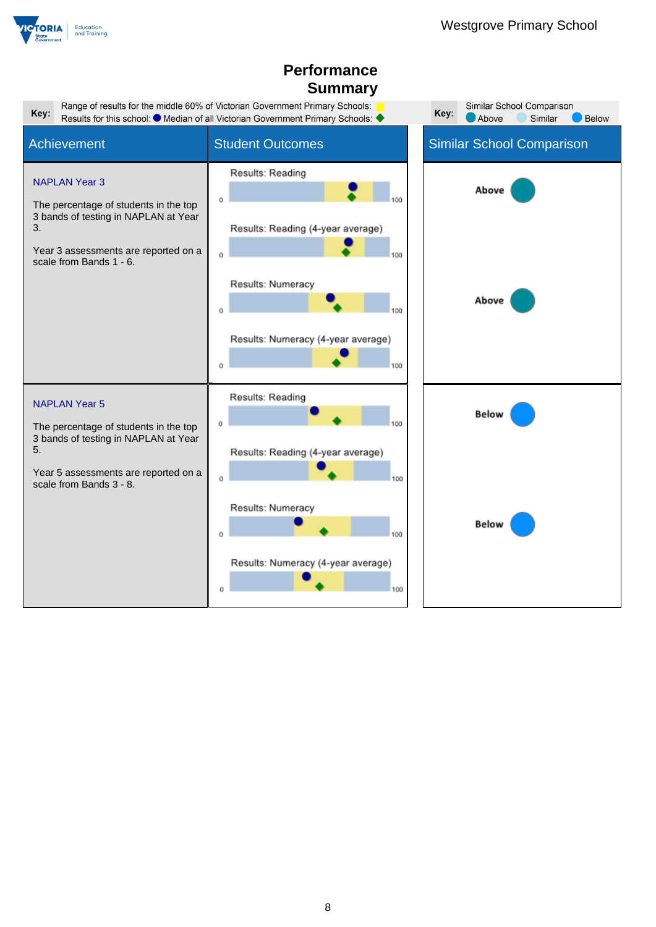

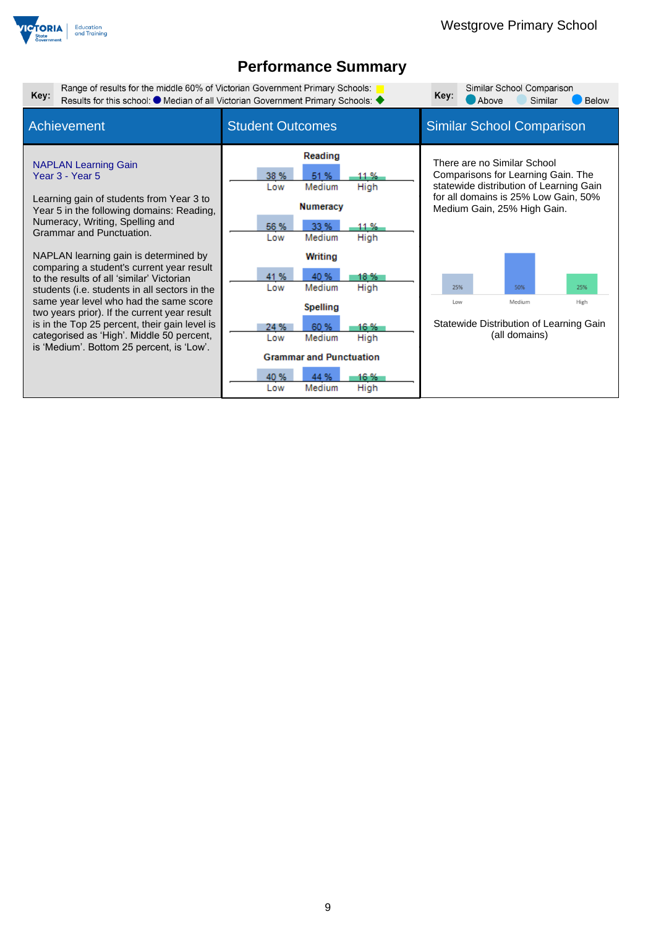

| Range of results for the middle 60% of Victorian Government Primary Schools:<br>Similar School Comparison<br>Key:<br>Key:<br>Results for this school: ● Median of all Victorian Government Primary Schools: ◆<br>Similar<br>Above                                                                                                                                                                                                                                                                                                                                                                                               |                                                                                                                                                                                                                                                                                                       |                                                                                                                                                                                                                                                                                               |
|---------------------------------------------------------------------------------------------------------------------------------------------------------------------------------------------------------------------------------------------------------------------------------------------------------------------------------------------------------------------------------------------------------------------------------------------------------------------------------------------------------------------------------------------------------------------------------------------------------------------------------|-------------------------------------------------------------------------------------------------------------------------------------------------------------------------------------------------------------------------------------------------------------------------------------------------------|-----------------------------------------------------------------------------------------------------------------------------------------------------------------------------------------------------------------------------------------------------------------------------------------------|
| Achievement                                                                                                                                                                                                                                                                                                                                                                                                                                                                                                                                                                                                                     | <b>Student Outcomes</b>                                                                                                                                                                                                                                                                               | <b>Similar School Comparison</b>                                                                                                                                                                                                                                                              |
| <b>NAPLAN Learning Gain</b><br>Year 3 - Year 5<br>Learning gain of students from Year 3 to<br>Year 5 in the following domains: Reading,<br>Numeracy, Writing, Spelling and<br>Grammar and Punctuation.<br>NAPLAN learning gain is determined by<br>comparing a student's current year result<br>to the results of all 'similar' Victorian<br>students (i.e. students in all sectors in the<br>same year level who had the same score<br>two years prior). If the current year result<br>is in the Top 25 percent, their gain level is<br>categorised as 'High'. Middle 50 percent,<br>is 'Medium'. Bottom 25 percent, is 'Low'. | Reading<br>38 %<br>51 %<br>11 %<br>Medium<br>High<br>Low<br><b>Numeracy</b><br>33 %<br>56 %<br>11 %<br>High<br>Low<br>Medium<br><b>Writing</b><br>40 %<br>41 %<br>18 %<br>High<br>Medium<br>Low<br><b>Spelling</b><br>60 %<br>16 %<br>24 %<br>Medium<br>High<br>Low<br><b>Grammar and Punctuation</b> | There are no Similar School<br>Comparisons for Learning Gain. The<br>statewide distribution of Learning Gain<br>for all domains is 25% Low Gain, 50%<br>Medium Gain, 25% High Gain.<br>25%<br>50%<br>25%<br>Medium<br>High<br>Low<br>Statewide Distribution of Learning Gain<br>(all domains) |
|                                                                                                                                                                                                                                                                                                                                                                                                                                                                                                                                                                                                                                 | 40 %<br>16 %<br>44 %<br>Medium<br>High<br>Low                                                                                                                                                                                                                                                         |                                                                                                                                                                                                                                                                                               |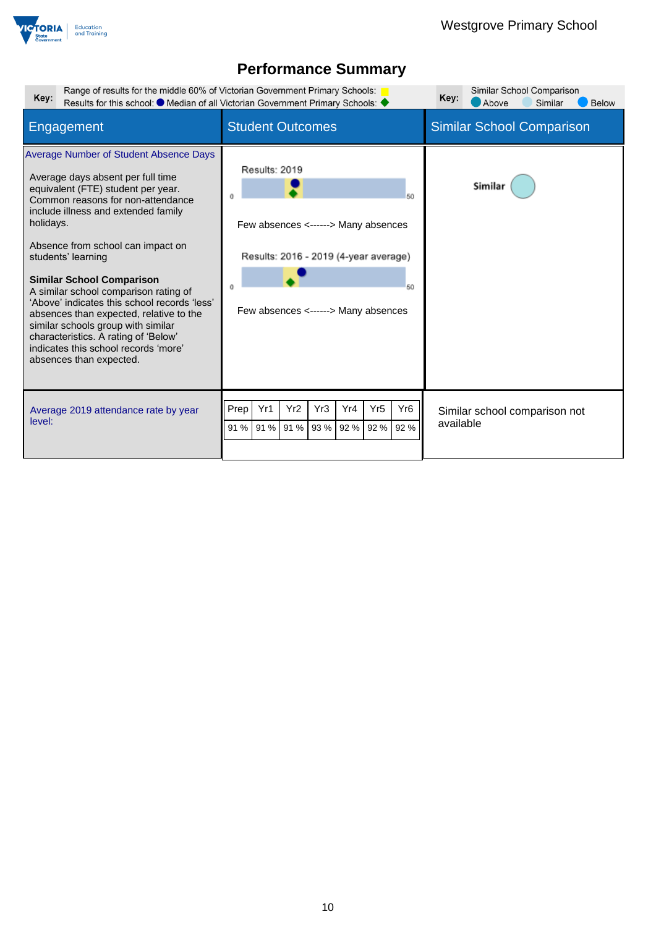

| Range of results for the middle 60% of Victorian Government Primary Schools:<br>Key:                                                                                                                                                                                                                                                                                                                                                                                                                                                                                                           | Results for this school: ● Median of all Victorian Government Primary Schools: ◆                                                                 | Similar School Comparison<br>Key:<br>Above<br>Similar<br><b>Below</b> |
|------------------------------------------------------------------------------------------------------------------------------------------------------------------------------------------------------------------------------------------------------------------------------------------------------------------------------------------------------------------------------------------------------------------------------------------------------------------------------------------------------------------------------------------------------------------------------------------------|--------------------------------------------------------------------------------------------------------------------------------------------------|-----------------------------------------------------------------------|
| Engagement                                                                                                                                                                                                                                                                                                                                                                                                                                                                                                                                                                                     | <b>Student Outcomes</b>                                                                                                                          | <b>Similar School Comparison</b>                                      |
| Average Number of Student Absence Days<br>Average days absent per full time<br>equivalent (FTE) student per year.<br>Common reasons for non-attendance<br>include illness and extended family<br>holidays.<br>Absence from school can impact on<br>students' learning<br><b>Similar School Comparison</b><br>A similar school comparison rating of<br>'Above' indicates this school records 'less'<br>absences than expected, relative to the<br>similar schools group with similar<br>characteristics. A rating of 'Below'<br>indicates this school records 'more'<br>absences than expected. | Results: 2019<br>50<br>Few absences <------> Many absences<br>Results: 2016 - 2019 (4-year average)<br>50<br>Few absences <------> Many absences | Similar                                                               |
| Average 2019 attendance rate by year<br>level:                                                                                                                                                                                                                                                                                                                                                                                                                                                                                                                                                 | Yr <sub>2</sub><br>Yr3<br>Yr <sub>5</sub><br>Yr <sub>6</sub><br>Prep<br>Yr1<br>Yr4<br>93 %<br>92 %<br>91 %<br>91 % 91 %<br>92 %<br>92 %          | Similar school comparison not<br>available                            |
|                                                                                                                                                                                                                                                                                                                                                                                                                                                                                                                                                                                                |                                                                                                                                                  |                                                                       |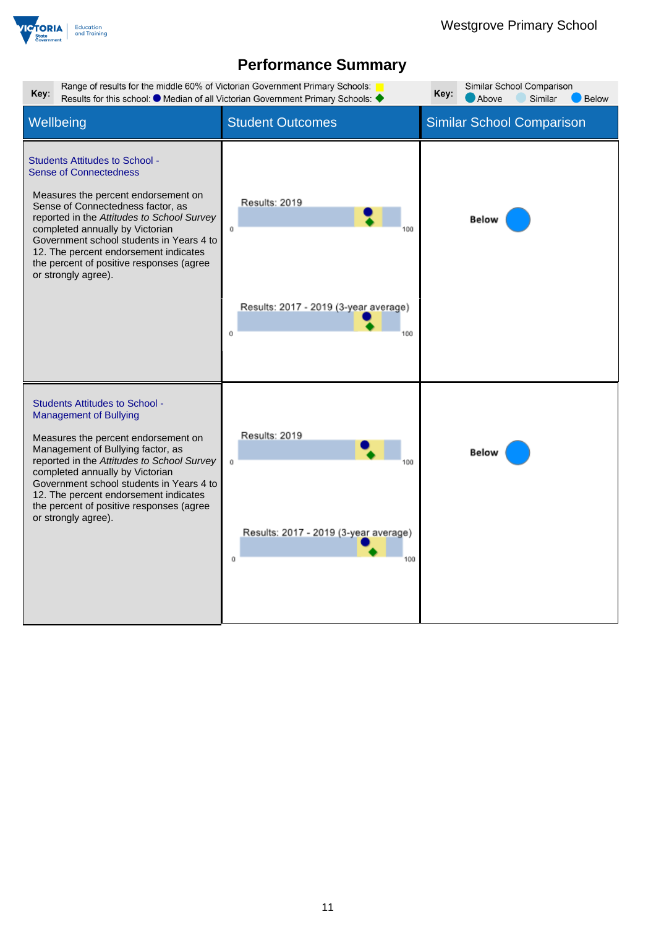

| Range of results for the middle 60% of Victorian Government Primary Schools:<br>Similar School Comparison<br>Key:<br>Key:<br>Results for this school: $\bullet$ Median of all Victorian Government Primary Schools:<br>Above<br>Similar<br><b>Below</b>                                                                                                                                     |                                                                         |                                  |  |
|---------------------------------------------------------------------------------------------------------------------------------------------------------------------------------------------------------------------------------------------------------------------------------------------------------------------------------------------------------------------------------------------|-------------------------------------------------------------------------|----------------------------------|--|
| Wellbeing                                                                                                                                                                                                                                                                                                                                                                                   | <b>Student Outcomes</b>                                                 | <b>Similar School Comparison</b> |  |
| <b>Students Attitudes to School -</b><br><b>Sense of Connectedness</b><br>Measures the percent endorsement on<br>Sense of Connectedness factor, as<br>reported in the Attitudes to School Survey<br>completed annually by Victorian<br>Government school students in Years 4 to<br>12. The percent endorsement indicates<br>the percent of positive responses (agree<br>or strongly agree). | Results: 2019<br>Ű<br>Results: 2017 - 2019 (3-year average)<br>Ŭ<br>100 | Below                            |  |
| <b>Students Attitudes to School -</b><br><b>Management of Bullying</b><br>Measures the percent endorsement on<br>Management of Bullying factor, as<br>reported in the Attitudes to School Survey<br>completed annually by Victorian<br>Government school students in Years 4 to<br>12. The percent endorsement indicates<br>the percent of positive responses (agree<br>or strongly agree). | Results: 2019<br>ū<br>Results: 2017 - 2019 (3-year average)<br>Ŭ<br>100 | Below                            |  |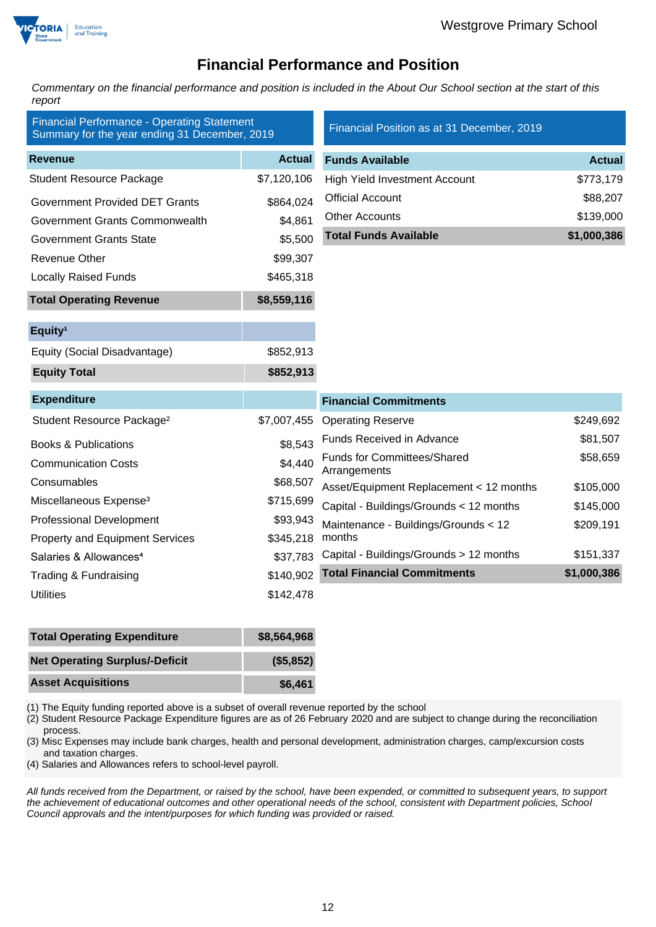

### **Financial Performance and Position**

*Commentary on the financial performance and position is included in the About Our School section at the start of this report*

| <b>Financial Performance - Operating Statement</b><br>Summary for the year ending 31 December, 2019 |               | Financial Position as at 31 December, 2019         |               |
|-----------------------------------------------------------------------------------------------------|---------------|----------------------------------------------------|---------------|
| <b>Revenue</b>                                                                                      | <b>Actual</b> | <b>Funds Available</b>                             | <b>Actual</b> |
| <b>Student Resource Package</b>                                                                     | \$7,120,106   | <b>High Yield Investment Account</b>               | \$773,179     |
| <b>Government Provided DET Grants</b>                                                               | \$864,024     | <b>Official Account</b>                            | \$88,207      |
| Government Grants Commonwealth                                                                      | \$4,861       | <b>Other Accounts</b>                              | \$139,000     |
| <b>Government Grants State</b>                                                                      | \$5,500       | <b>Total Funds Available</b>                       | \$1,000,386   |
| <b>Revenue Other</b>                                                                                | \$99,307      |                                                    |               |
| <b>Locally Raised Funds</b>                                                                         | \$465,318     |                                                    |               |
| <b>Total Operating Revenue</b>                                                                      | \$8,559,116   |                                                    |               |
| Equity <sup>1</sup>                                                                                 |               |                                                    |               |
| Equity (Social Disadvantage)                                                                        | \$852,913     |                                                    |               |
| <b>Equity Total</b>                                                                                 | \$852,913     |                                                    |               |
| <b>Expenditure</b>                                                                                  |               | <b>Financial Commitments</b>                       |               |
| Student Resource Package <sup>2</sup>                                                               | \$7,007,455   | <b>Operating Reserve</b>                           | \$249,692     |
| <b>Books &amp; Publications</b>                                                                     | \$8,543       | Funds Received in Advance                          | \$81,507      |
| <b>Communication Costs</b>                                                                          | \$4,440       | <b>Funds for Committees/Shared</b><br>Arrangements | \$58,659      |
| Consumables                                                                                         | \$68,507      | Asset/Equipment Replacement < 12 months            | \$105,000     |
| Miscellaneous Expense <sup>3</sup>                                                                  | \$715,699     | Capital - Buildings/Grounds < 12 months            | \$145,000     |
| <b>Professional Development</b>                                                                     | \$93,943      | Maintenance - Buildings/Grounds < 12               | \$209,191     |
| <b>Property and Equipment Services</b>                                                              | \$345,218     | months                                             |               |
| Salaries & Allowances <sup>4</sup>                                                                  | \$37,783      | Capital - Buildings/Grounds > 12 months            | \$151,337     |
| Trading & Fundraising                                                                               | \$140,902     | <b>Total Financial Commitments</b>                 | \$1,000,386   |
| <b>Utilities</b>                                                                                    | \$142,478     |                                                    |               |

| <b>Total Operating Expenditure</b>    | \$8,564,968 |
|---------------------------------------|-------------|
| <b>Net Operating Surplus/-Deficit</b> | (\$5,852)   |
| <b>Asset Acquisitions</b>             | \$6,461     |

(1) The Equity funding reported above is a subset of overall revenue reported by the school

(2) Student Resource Package Expenditure figures are as of 26 February 2020 and are subject to change during the reconciliation process.

(3) Misc Expenses may include bank charges, health and personal development, administration charges, camp/excursion costs and taxation charges.

(4) Salaries and Allowances refers to school-level payroll.

*All funds received from the Department, or raised by the school, have been expended, or committed to subsequent years, to support the achievement of educational outcomes and other operational needs of the school, consistent with Department policies, School Council approvals and the intent/purposes for which funding was provided or raised.*